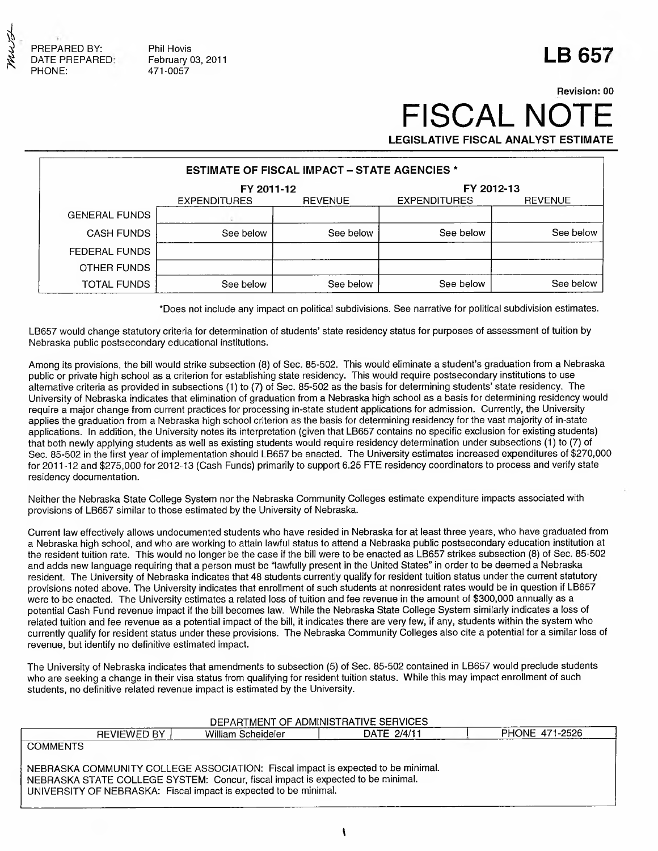

Phil Hovis **LB 657**  $F$ ebruary 03, 2011 471 -0057

## **Revision: 00** FISCAL NO **LEGISLATIVE FISCAL ANALYST ESTIMATE**

| <b>ESTIMATE OF FISCAL IMPACT - STATE AGENCIES *</b> |                          |                     |                |           |  |  |  |
|-----------------------------------------------------|--------------------------|---------------------|----------------|-----------|--|--|--|
|                                                     | FY 2012-13<br>FY 2011-12 |                     |                |           |  |  |  |
|                                                     | <b>EXPENDITURES</b>      | <b>EXPENDITURES</b> | <b>REVENUE</b> |           |  |  |  |
| <b>GENERAL FUNDS</b>                                |                          |                     |                |           |  |  |  |
| <b>CASH FUNDS</b>                                   | See below                | See below           | See below      | See below |  |  |  |
| FEDERAL FUNDS                                       |                          |                     |                |           |  |  |  |
| OTHER FUNDS                                         |                          |                     |                |           |  |  |  |
| TOTAL FUNDS                                         | See below                | See below           | See below      | See below |  |  |  |

**\*Does not include any impact on political subdivisions. See narrative for political subdivision estimates.**

**LB657 would change statutory criteria for determination of students' state residency status for purposes of assessment of tuition by Nebraska public postsecondary educational institutions.**

**Among its provisions, the bill would strike subsection (8) of Sec. 85-502. This would eliminate a student's graduation from a Nebraska public or private high school as a criterion for establishing state residency. This would require postsecondary institutions to use alternative criteria as provided in subsections (1) to (7) of Sec. 85-502 as the basis for determining students' state residency. The University of Nebraska indicates that elimination of graduation from a Nebraska high school as a basis for determining residency would require a major change from current practices for processing in-state student applications for admission. Currently, the University applies the graduation from a Nebraska high school criterion as the basis for determining residency for the vast majority of in-state applications. In addition, the University notes its interpretation (given that LB657 contains no specific exclusion for existing students) that both newly applying students as well as existing students would require residency determination under subsections (1) to (7) of Sec. 85-502 in the first year of implementation should LB657 be enacted. The University estimates increased expenditures of \$270,000 for 2011-12 and \$275,000 for 2012-13 (Cash Funds) primarily to support 6.25 FTE residency coordinators to process and verify state residency documentation.**

**Neither the Nebraska State College System nor the Nebraska Community Colleges estimate expenditure impacts associated with provisions of LB657 similar to those estimated by the University of Nebraska.**

**Current law effectively allows undocumented students who have resided in Nebraska for at least three years, who have graduated from a Nebraska high school, and who are working to attain lawful status to attend a Nebraska public postsecondary education institution at the resident tuition rate. This would no longer be the case if the bill were to be enacted as LB657 strikes subsection (8) of Sec. 85-502 and adds new language requiring that a person must be "lawfully present in the United States" in order to be deemed a Nebraska resident. The University of Nebraska indicates that 48 students currently qualify for resident tuition status under the current statutory provisions noted above. The University indicates that enrollment of such students at nonresident rates would be in question if LB657 were to be enacted. The University estimates a related loss of tuition and fee revenue in the amount of \$300,000 annually as a potential Cash Fund revenue impact if the bill becomes law. While the Nebraska State College System similarly indicates a loss of related tuition and fee revenue as a potential impact of the bill, it indicates there are very few, if any, students within the system who currently qualify for resident status under these provisions. The Nebraska Community Colleges also cite a potential for a similar loss of revenue, but identify no definitive estimated impact.**

**The University of Nebraska indicates that amendments to subsection (5) of Sec. 85-502 contained in LB657 would preclude students who are seeking a change in their visa status from qualifying for resident tuition status. While this may impact enrollment of such students, no definitive related revenue impact is estimated by the University.**

### **DEPARTMENT OF ADMINISTRATIVE SERVICES**

| <b>REVIEWED BY</b>                                                                                                                                                                                                                      | William Scheideler | DATE 2/4/11 | PHONE 471-2526 |
|-----------------------------------------------------------------------------------------------------------------------------------------------------------------------------------------------------------------------------------------|--------------------|-------------|----------------|
| <b>COMMENTS</b>                                                                                                                                                                                                                         |                    |             |                |
| NEBRASKA COMMUNITY COLLEGE ASSOCIATION: Fiscal impact is expected to be minimal.<br>NEBRASKA STATE COLLEGE SYSTEM: Concur, fiscal impact is expected to be minimal.<br>UNIVERSITY OF NEBRASKA: Fiscal impact is expected to be minimal. |                    |             |                |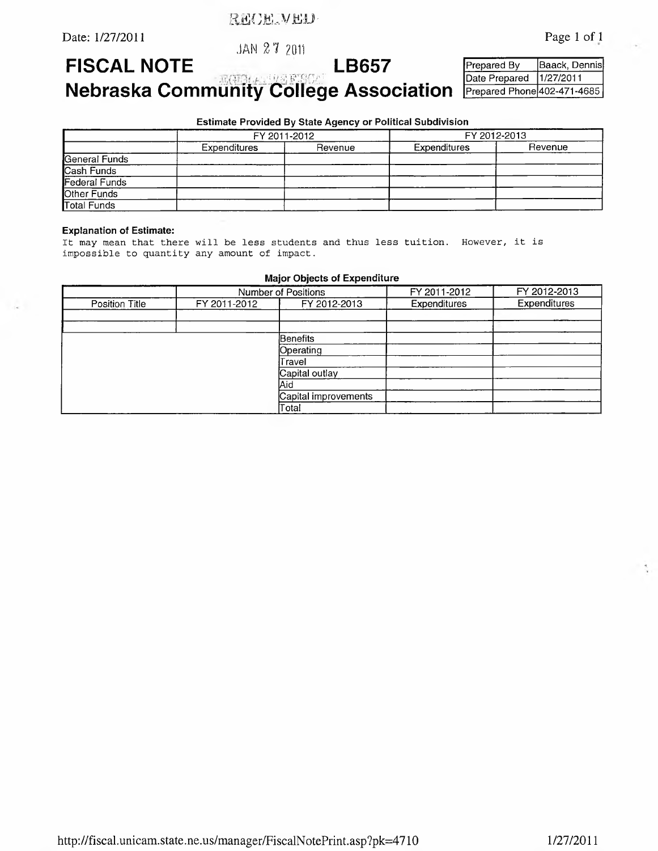RECEIVED-

**JAN 2 7 2011**

Date: 1/27/2011 Page 1 of 1

**FISCAL NOTE Excessions LB03** 

**Prepared By Baack, Dennis Date Prepared 1/27/2011 Prepared Phone 402-471-4685**

**N e b r a s k a C o m m u n i t y C o l l e g e A s s o c i a t i o n**

**Estimate Provided By State Agency or Political Subdivision**

|                    | FY 2011-2012 |         | FY 2012-2013 |         |
|--------------------|--------------|---------|--------------|---------|
|                    | Expenditures | Revenue | Expenditures | Revenue |
| General Funds      |              |         |              |         |
| Cash Funds         |              |         |              |         |
| Federal Funds      |              |         |              |         |
| Other Funds        |              |         |              |         |
| <b>Total Funds</b> |              |         |              |         |

#### **Explanation of Estimate:**

It may mean that there will be less students and thus less tuition. However, it is impossible to quantity any amount of impact.

**Major Objects of Expenditure**

|                | <b>Number of Positions</b> |              | FY 2011-2012 | FY 2012-2013 |
|----------------|----------------------------|--------------|--------------|--------------|
| Position Title | FY 2011-2012               | FY 2012-2013 | Expenditures | Expenditures |
|                |                            |              |              |              |
|                |                            |              |              |              |
|                |                            | Benefits     |              |              |
|                |                            | Operating    |              |              |
|                |                            | Travel       |              |              |
| Capital outlay |                            |              |              |              |
|                | lAid                       |              |              |              |
|                | Capital improvements       |              |              |              |
|                | Total                      |              |              |              |

<http://fiscal.unicam.state.ne.us/manager/FiscalNotePrint.asp?pk=4710> 1/27/2011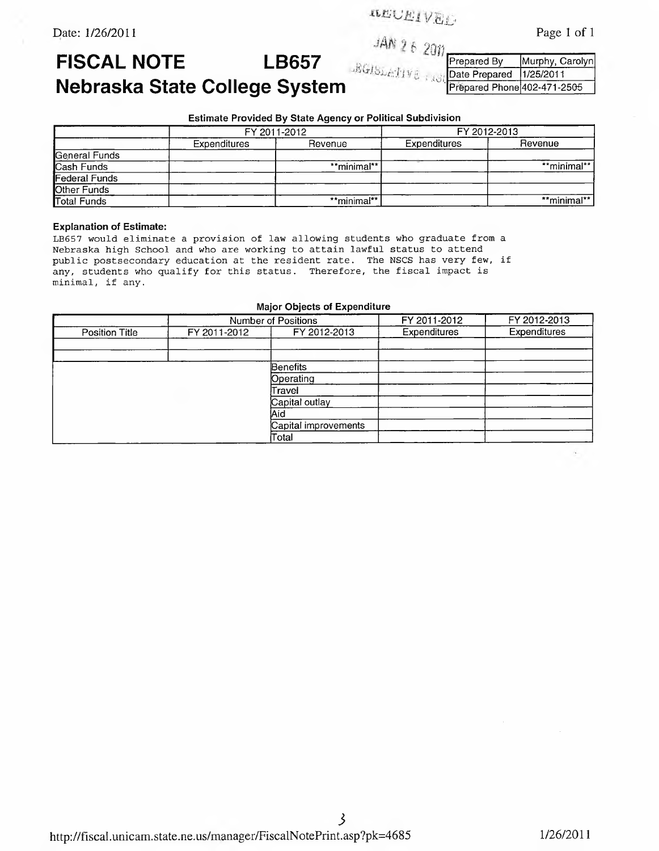**-Cl JL\*** Page 1 of 1

Date: 1/26/2011

# 5 *Orm*

# FISCAL NOTE LB657 Nebraska State College System

*■ioi*

**Prepared By Murphy, Carolyn**<br>Date Prepared 1/25/2011 **Date Prepared Prepared Phone 402-471-2505**

### **Estimate Provided By State Agency or Political Subdivision**

|                      | FY 2011-2012 |             | FY 2012-2013 |             |
|----------------------|--------------|-------------|--------------|-------------|
|                      | Expenditures | Revenue     | Expenditures | Revenue     |
| General Funds        |              |             |              |             |
| Cash Funds           |              | **minimal** |              | **minimal** |
| <b>Federal Funds</b> |              |             |              |             |
| Other Funds          |              |             |              |             |
| <b>Total Funds</b>   |              | **minimal** |              | **minimal** |

#### **Explanation of Estimate:**

LB657 would eliminate a provision of law allowing students who graduate from a Nebraska high School and who are working to attain lawful status to attend public postsecondary education at the resident rate. The NSCS has very few, if any, students who qualify for this status. Therefore, the fiscal impact is minimal, if any.

### **Major Objects of Expenditure**

|                       | Number of Positions |                      | FY 2011-2012 | FY 2012-2013 |
|-----------------------|---------------------|----------------------|--------------|--------------|
| <b>Position Title</b> | FY 2011-2012        | FY 2012-2013         | Expenditures | Expenditures |
|                       |                     |                      |              |              |
|                       |                     |                      |              |              |
|                       |                     | Benefits             |              |              |
|                       |                     | Operating            |              |              |
|                       |                     | Travel               |              |              |
|                       |                     | Capital outlay       |              |              |
|                       |                     | Aid                  |              |              |
|                       |                     | Capital improvements |              |              |
|                       |                     | Total                |              |              |